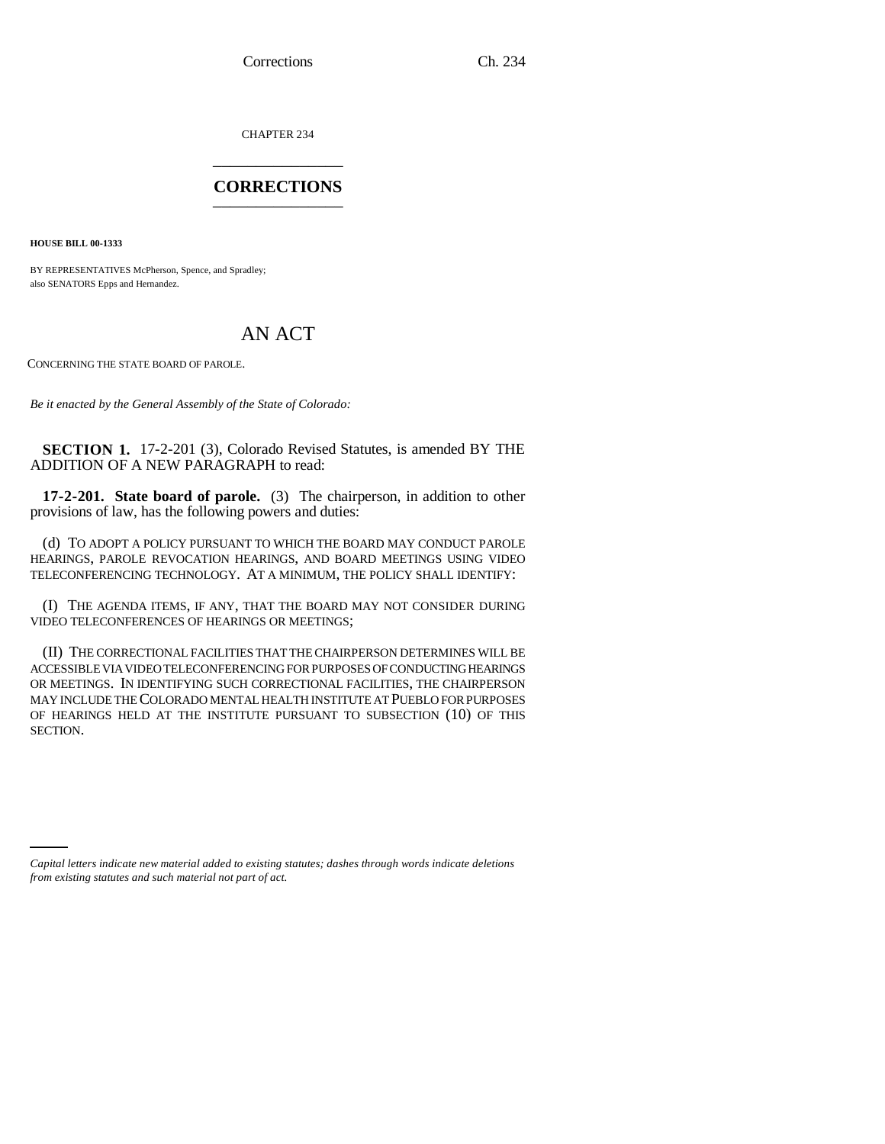Corrections Ch. 234

CHAPTER 234 \_\_\_\_\_\_\_\_\_\_\_\_\_\_\_

## **CORRECTIONS** \_\_\_\_\_\_\_\_\_\_\_\_\_\_\_

**HOUSE BILL 00-1333** 

BY REPRESENTATIVES McPherson, Spence, and Spradley; also SENATORS Epps and Hernandez.

## AN ACT

CONCERNING THE STATE BOARD OF PAROLE.

*Be it enacted by the General Assembly of the State of Colorado:*

**SECTION 1.** 17-2-201 (3), Colorado Revised Statutes, is amended BY THE ADDITION OF A NEW PARAGRAPH to read:

**17-2-201. State board of parole.** (3) The chairperson, in addition to other provisions of law, has the following powers and duties:

(d) TO ADOPT A POLICY PURSUANT TO WHICH THE BOARD MAY CONDUCT PAROLE HEARINGS, PAROLE REVOCATION HEARINGS, AND BOARD MEETINGS USING VIDEO TELECONFERENCING TECHNOLOGY. AT A MINIMUM, THE POLICY SHALL IDENTIFY:

(I) THE AGENDA ITEMS, IF ANY, THAT THE BOARD MAY NOT CONSIDER DURING VIDEO TELECONFERENCES OF HEARINGS OR MEETINGS;

(II) THE CORRECTIONAL FACILITIES THAT THE CHAIRPERSON DETERMINES WILL BE ACCESSIBLE VIA VIDEO TELECONFERENCING FOR PURPOSES OF CONDUCTING HEARINGS OR MEETINGS. IN IDENTIFYING SUCH CORRECTIONAL FACILITIES, THE CHAIRPERSON MAY INCLUDE THE COLORADO MENTAL HEALTH INSTITUTE AT PUEBLO FOR PURPOSES OF HEARINGS HELD AT THE INSTITUTE PURSUANT TO SUBSECTION (10) OF THIS SECTION.

*Capital letters indicate new material added to existing statutes; dashes through words indicate deletions from existing statutes and such material not part of act.*